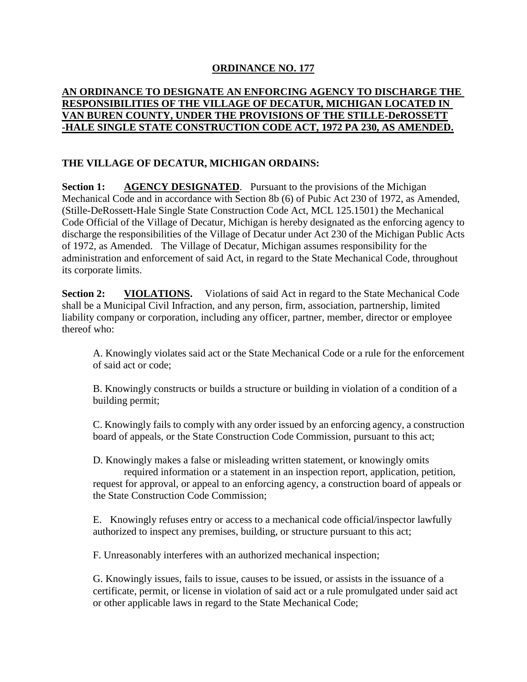## **ORDINANCE NO. 177**

## **AN ORDINANCE TO DESIGNATE AN ENFORCING AGENCY TO DISCHARGE THE RESPONSIBILITIES OF THE VILLAGE OF DECATUR, MICHIGAN LOCATED IN VAN BUREN COUNTY, UNDER THE PROVISIONS OF THE STILLE-DeROSSETT -HALE SINGLE STATE CONSTRUCTION CODE ACT, 1972 PA 230, AS AMENDED.**

## **THE VILLAGE OF DECATUR, MICHIGAN ORDAINS:**

**Section 1: AGENCY DESIGNATED**. Pursuant to the provisions of the Michigan Mechanical Code and in accordance with Section 8b (6) of Pubic Act 230 of 1972, as Amended, (Stille-DeRossett-Hale Single State Construction Code Act, MCL 125.1501) the Mechanical Code Official of the Village of Decatur, Michigan is hereby designated as the enforcing agency to discharge the responsibilities of the Village of Decatur under Act 230 of the Michigan Public Acts of 1972, as Amended. The Village of Decatur, Michigan assumes responsibility for the administration and enforcement of said Act, in regard to the State Mechanical Code, throughout its corporate limits.

**Section 2:** VIOLATIONS. Violations of said Act in regard to the State Mechanical Code shall be a Municipal Civil Infraction, and any person, firm, association, partnership, limited liability company or corporation, including any officer, partner, member, director or employee thereof who:

A. Knowingly violates said act or the State Mechanical Code or a rule for the enforcement of said act or code;

B. Knowingly constructs or builds a structure or building in violation of a condition of a building permit;

C. Knowingly fails to comply with any order issued by an enforcing agency, a construction board of appeals, or the State Construction Code Commission, pursuant to this act;

D. Knowingly makes a false or misleading written statement, or knowingly omits required information or a statement in an inspection report, application, petition, request for approval, or appeal to an enforcing agency, a construction board of appeals or the State Construction Code Commission;

E. Knowingly refuses entry or access to a mechanical code official/inspector lawfully authorized to inspect any premises, building, or structure pursuant to this act;

F. Unreasonably interferes with an authorized mechanical inspection;

G. Knowingly issues, fails to issue, causes to be issued, or assists in the issuance of a certificate, permit, or license in violation of said act or a rule promulgated under said act or other applicable laws in regard to the State Mechanical Code;